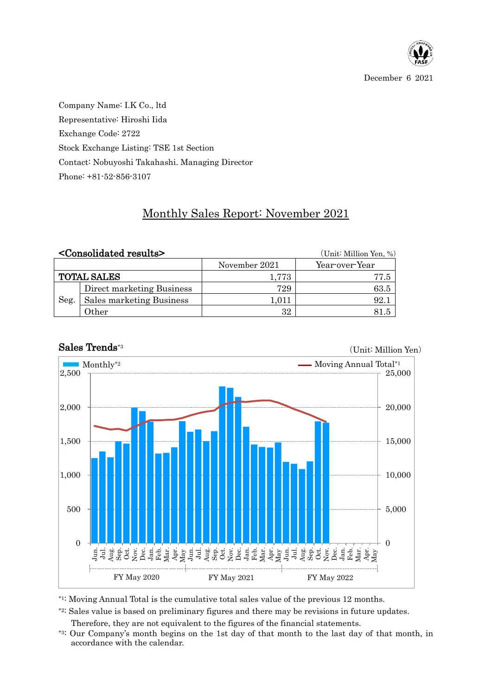

Company Name: I.K Co., ltd Representative: Hiroshi Iida Exchange Code: 2722 Stock Exchange Listing: TSE 1st Section Contact: Nobuyoshi Takahashi. Managing Director Phone: +81-52-856-3107

## Monthly Sales Report: November 2021

|                    | <consolidated results=""></consolidated> |               | (Unit: Million Yen, %) |  |  |  |
|--------------------|------------------------------------------|---------------|------------------------|--|--|--|
|                    |                                          | November 2021 | Year-over-Year         |  |  |  |
| <b>TOTAL SALES</b> |                                          | $1.773\,$     | 77.5                   |  |  |  |
| Seg.               | Direct marketing Business                | 729           | 63.5                   |  |  |  |
|                    | Sales marketing Business                 | 1,011         | 92.1                   |  |  |  |
|                    | Other                                    | 32            | 81 5                   |  |  |  |



## Sales Trends\*3

(Unit: Million Yen)

\*1: Moving Annual Total is the cumulative total sales value of the previous 12 months.

\*2: Sales value is based on preliminary figures and there may be revisions in future updates.

Therefore, they are not equivalent to the figures of the financial statements.

\*3: Our Company's month begins on the 1st day of that month to the last day of that month, in accordance with the calendar.